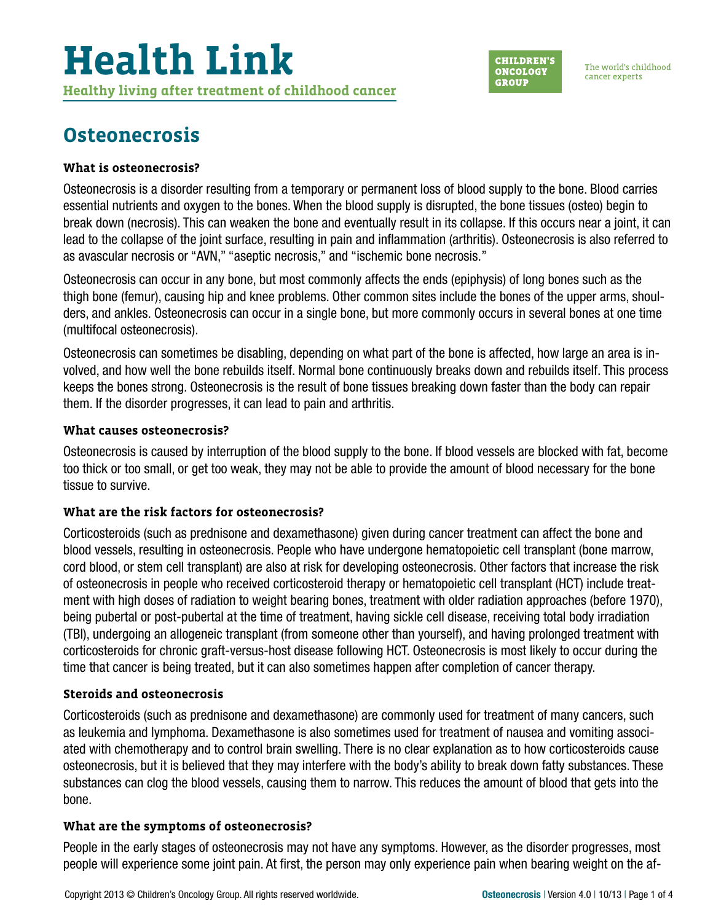#### **CHILDREN'S ONCOLOGY GROUP**

The world's childhood cancer experts

## **Osteonecrosis**

### **What is osteonecrosis?**

Osteonecrosis is a disorder resulting from a temporary or permanent loss of blood supply to the bone. Blood carries essential nutrients and oxygen to the bones. When the blood supply is disrupted, the bone tissues (osteo) begin to break down (necrosis). This can weaken the bone and eventually result in its collapse. If this occurs near a joint, it can lead to the collapse of the joint surface, resulting in pain and inflammation (arthritis). Osteonecrosis is also referred to as avascular necrosis or "AVN," "aseptic necrosis," and "ischemic bone necrosis."

Osteonecrosis can occur in any bone, but most commonly affects the ends (epiphysis) of long bones such as the thigh bone (femur), causing hip and knee problems. Other common sites include the bones of the upper arms, shoulders, and ankles. Osteonecrosis can occur in a single bone, but more commonly occurs in several bones at one time (multifocal osteonecrosis).

Osteonecrosis can sometimes be disabling, depending on what part of the bone is affected, how large an area is involved, and how well the bone rebuilds itself. Normal bone continuously breaks down and rebuilds itself. This process keeps the bones strong. Osteonecrosis is the result of bone tissues breaking down faster than the body can repair them. If the disorder progresses, it can lead to pain and arthritis.

#### **What causes osteonecrosis?**

Osteonecrosis is caused by interruption of the blood supply to the bone. If blood vessels are blocked with fat, become too thick or too small, or get too weak, they may not be able to provide the amount of blood necessary for the bone tissue to survive.

#### **What are the risk factors for osteonecrosis?**

Corticosteroids (such as prednisone and dexamethasone) given during cancer treatment can affect the bone and blood vessels, resulting in osteonecrosis. People who have undergone hematopoietic cell transplant (bone marrow, cord blood, or stem cell transplant) are also at risk for developing osteonecrosis. Other factors that increase the risk of osteonecrosis in people who received corticosteroid therapy or hematopoietic cell transplant (HCT) include treatment with high doses of radiation to weight bearing bones, treatment with older radiation approaches (before 1970), being pubertal or post-pubertal at the time of treatment, having sickle cell disease, receiving total body irradiation (TBI), undergoing an allogeneic transplant (from someone other than yourself), and having prolonged treatment with corticosteroids for chronic graft-versus-host disease following HCT. Osteonecrosis is most likely to occur during the time that cancer is being treated, but it can also sometimes happen after completion of cancer therapy.

#### **Steroids and osteonecrosis**

Corticosteroids (such as prednisone and dexamethasone) are commonly used for treatment of many cancers, such as leukemia and lymphoma. Dexamethasone is also sometimes used for treatment of nausea and vomiting associated with chemotherapy and to control brain swelling. There is no clear explanation as to how corticosteroids cause osteonecrosis, but it is believed that they may interfere with the body's ability to break down fatty substances. These substances can clog the blood vessels, causing them to narrow. This reduces the amount of blood that gets into the bone.

#### **What are the symptoms of osteonecrosis?**

People in the early stages of osteonecrosis may not have any symptoms. However, as the disorder progresses, most people will experience some joint pain. At first, the person may only experience pain when bearing weight on the af-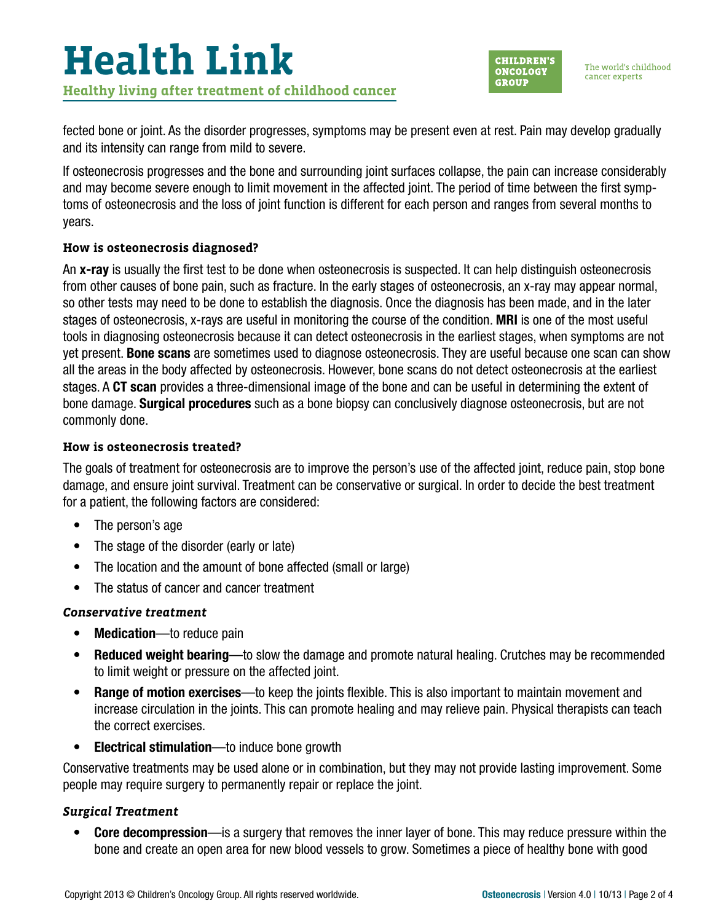

The world's childhood cancer experts

fected bone or joint. As the disorder progresses, symptoms may be present even at rest. Pain may develop gradually and its intensity can range from mild to severe.

If osteonecrosis progresses and the bone and surrounding joint surfaces collapse, the pain can increase considerably and may become severe enough to limit movement in the affected joint. The period of time between the first symptoms of osteonecrosis and the loss of joint function is different for each person and ranges from several months to years.

#### **How is osteonecrosis diagnosed?**

An x-ray is usually the first test to be done when osteonecrosis is suspected. It can help distinguish osteonecrosis from other causes of bone pain, such as fracture. In the early stages of osteonecrosis, an x-ray may appear normal, so other tests may need to be done to establish the diagnosis. Once the diagnosis has been made, and in the later stages of osteonecrosis, x-rays are useful in monitoring the course of the condition. MRI is one of the most useful tools in diagnosing osteonecrosis because it can detect osteonecrosis in the earliest stages, when symptoms are not yet present. Bone scans are sometimes used to diagnose osteonecrosis. They are useful because one scan can show all the areas in the body affected by osteonecrosis. However, bone scans do not detect osteonecrosis at the earliest stages. A CT scan provides a three-dimensional image of the bone and can be useful in determining the extent of bone damage. Surgical procedures such as a bone biopsy can conclusively diagnose osteonecrosis, but are not commonly done.

#### **How is osteonecrosis treated?**

The goals of treatment for osteonecrosis are to improve the person's use of the affected joint, reduce pain, stop bone damage, and ensure joint survival. Treatment can be conservative or surgical. In order to decide the best treatment for a patient, the following factors are considered:

- The person's age
- The stage of the disorder (early or late)
- The location and the amount of bone affected (small or large)
- The status of cancer and cancer treatment

#### *Conservative treatment*

- Medication—to reduce pain
- Reduced weight bearing—to slow the damage and promote natural healing. Crutches may be recommended to limit weight or pressure on the affected joint.
- Range of motion exercises—to keep the joints flexible. This is also important to maintain movement and increase circulation in the joints. This can promote healing and may relieve pain. Physical therapists can teach the correct exercises.
- Electrical stimulation—to induce bone growth

Conservative treatments may be used alone or in combination, but they may not provide lasting improvement. Some people may require surgery to permanently repair or replace the joint.

#### *Surgical Treatment*

• Core decompression—is a surgery that removes the inner layer of bone. This may reduce pressure within the bone and create an open area for new blood vessels to grow. Sometimes a piece of healthy bone with good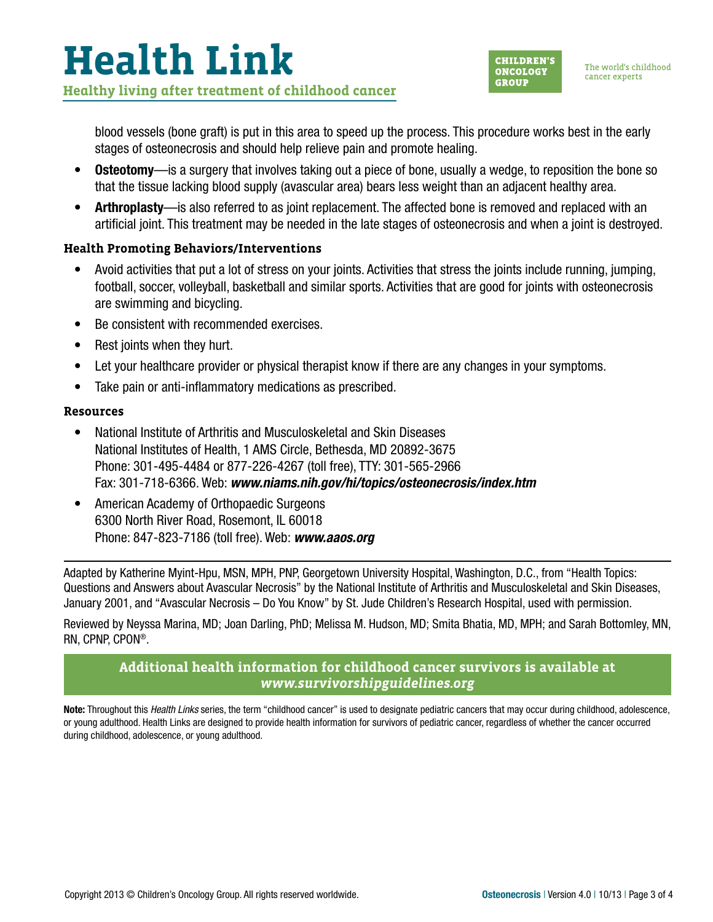# **Health Link Healthy living after treatment of childhood cancer**



blood vessels (bone graft) is put in this area to speed up the process. This procedure works best in the early stages of osteonecrosis and should help relieve pain and promote healing.

- **Osteotomy**—is a surgery that involves taking out a piece of bone, usually a wedge, to reposition the bone so that the tissue lacking blood supply (avascular area) bears less weight than an adjacent healthy area.
- Arthroplasty—is also referred to as joint replacement. The affected bone is removed and replaced with an artificial joint. This treatment may be needed in the late stages of osteonecrosis and when a joint is destroyed.

#### **Health Promoting Behaviors/Interventions**

- Avoid activities that put a lot of stress on your joints. Activities that stress the joints include running, jumping, football, soccer, volleyball, basketball and similar sports. Activities that are good for joints with osteonecrosis are swimming and bicycling.
- Be consistent with recommended exercises.
- Rest joints when they hurt.
- Let your healthcare provider or physical therapist know if there are any changes in your symptoms.
- Take pain or anti-inflammatory medications as prescribed.

#### **Resources**

- National Institute of Arthritis and Musculoskeletal and Skin Diseases National Institutes of Health, 1 AMS Circle, Bethesda, MD 20892-3675 Phone: 301-495-4484 or 877-226-4267 (toll free), TTY: 301-565-2966 Fax: 301-718-6366. Web: *[www.niams.nih.gov/hi/topics/osteonecrosis/index.htm](http://www.niams.nih.gov/hi/topics/osteonecrosis/index.htm)*
- American Academy of Orthopaedic Surgeons 6300 North River Road, Rosemont, IL 60018 Phone: 847-823-7186 (toll free). Web: *[www.aaos.org](http://www.aaos.org)*

Adapted by Katherine Myint-Hpu, MSN, MPH, PNP, Georgetown University Hospital, Washington, D.C., from "Health Topics: Questions and Answers about Avascular Necrosis" by the National Institute of Arthritis and Musculoskeletal and Skin Diseases, January 2001, and "Avascular Necrosis – Do You Know" by St. Jude Children's Research Hospital, used with permission.

Reviewed by Neyssa Marina, MD; Joan Darling, PhD; Melissa M. Hudson, MD; Smita Bhatia, MD, MPH; and Sarah Bottomley, MN, RN, CPNP, CPON®.

### **Additional health information for childhood cancer survivors is available at**  *[www.survivorshipguidelines.org](http://www.survivorshipguidelines.org)*

Note: Throughout this *Health Links* series, the term "childhood cancer" is used to designate pediatric cancers that may occur during childhood, adolescence, or young adulthood. Health Links are designed to provide health information for survivors of pediatric cancer, regardless of whether the cancer occurred during childhood, adolescence, or young adulthood.